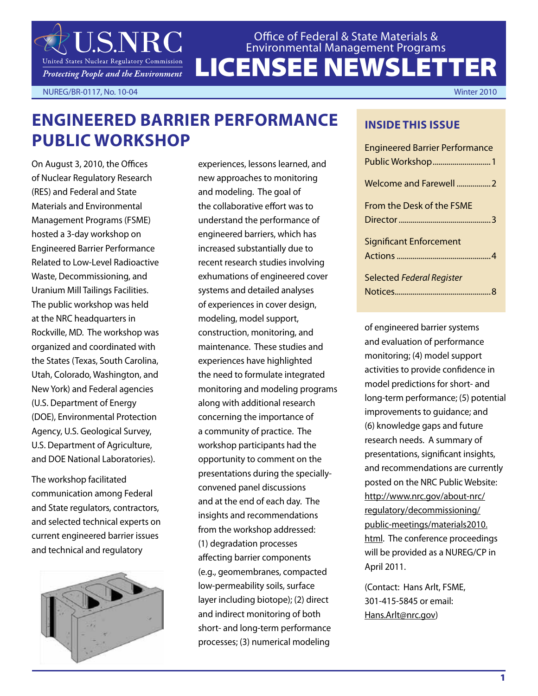

LICENSEE NEWSLETTER Office of Federal & State Materials & Environmental Management Programs

NUREG/BR-0117, No. 10-04 Winter 2010

### **Engineered Barrier Performance Public Workshop**

On August 3, 2010, the Offices of Nuclear Regulatory Research (RES) and Federal and State Materials and Environmental Management Programs (FSME) hosted a 3-day workshop on Engineered Barrier Performance Related to Low-Level Radioactive Waste, Decommissioning, and Uranium Mill Tailings Facilities. The public workshop was held at the NRC headquarters in Rockville, MD. The workshop was organized and coordinated with the States (Texas, South Carolina, Utah, Colorado, Washington, and New York) and Federal agencies (U.S. Department of Energy (DOE), Environmental Protection Agency, U.S. Geological Survey, U.S. Department of Agriculture, and DOE National Laboratories).

The workshop facilitated communication among Federal and State regulators, contractors, and selected technical experts on current engineered barrier issues and technical and regulatory



experiences, lessons learned, and new approaches to monitoring and modeling. The goal of the collaborative effort was to understand the performance of engineered barriers, which has increased substantially due to recent research studies involving exhumations of engineered cover systems and detailed analyses of experiences in cover design, modeling, model support, construction, monitoring, and maintenance. These studies and experiences have highlighted the need to formulate integrated monitoring and modeling programs along with additional research concerning the importance of a community of practice. The workshop participants had the opportunity to comment on the presentations during the speciallyconvened panel discussions and at the end of each day. The insights and recommendations from the workshop addressed: (1) degradation processes affecting barrier components (e.g., geomembranes, compacted low-permeability soils, surface layer including biotope); (2) direct and indirect monitoring of both short- and long-term performance processes; (3) numerical modeling

#### **INSIDE THIS ISSUE**

| <b>Engineered Barrier Performance</b> |
|---------------------------------------|
| Welcome and Farewell 2                |
| <b>From the Desk of the FSME</b>      |
| <b>Significant Enforcement</b>        |
| <b>Selected Federal Register</b>      |

of engineered barrier systems and evaluation of performance monitoring; (4) model support activities to provide confidence in model predictions for short- and long-term performance; (5) potential improvements to guidance; and (6) knowledge gaps and future research needs. A summary of presentations, significant insights, and recommendations are currently posted on the NRC Public Website: http://www.nrc.gov/about-nrc/ regulatory/decommissioning/ public-meetings/materials2010. html. The conference proceedings will be provided as a NUREG/CP in April 2011.

(Contact: Hans Arlt, FSME, 301-415-5845 or email: Hans.Arlt@nrc.gov)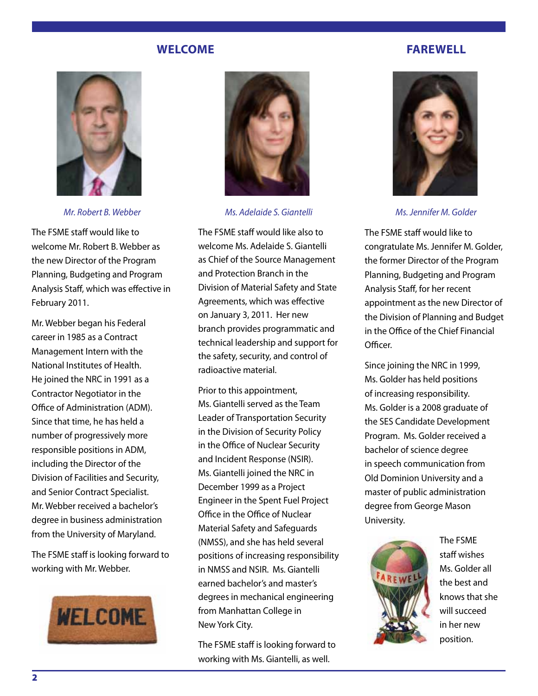#### **Welcome**

#### **Farewell**



*Mr. Robert B. Webber*

The FSME staff would like to welcome Mr. Robert B. Webber as the new Director of the Program Planning, Budgeting and Program Analysis Staff, which was effective in February 2011.

Mr. Webber began his Federal career in 1985 as a Contract Management Intern with the National Institutes of Health. He joined the NRC in 1991 as a Contractor Negotiator in the Office of Administration (ADM). Since that time, he has held a number of progressively more responsible positions in ADM, including the Director of the Division of Facilities and Security, and Senior Contract Specialist. Mr. Webber received a bachelor's degree in business administration from the University of Maryland.

The FSME staff is looking forward to working with Mr. Webber.





*Ms. Adelaide S. Giantelli*

The FSME staff would like also to welcome Ms. Adelaide S. Giantelli as Chief of the Source Management and Protection Branch in the Division of Material Safety and State Agreements, which was effective on January 3, 2011. Her new branch provides programmatic and technical leadership and support for the safety, security, and control of radioactive material.

Prior to this appointment, Ms. Giantelli served as the Team Leader of Transportation Security in the Division of Security Policy in the Office of Nuclear Security and Incident Response (NSIR). Ms. Giantelli joined the NRC in December 1999 as a Project Engineer in the Spent Fuel Project Office in the Office of Nuclear Material Safety and Safeguards (NMSS), and she has held several positions of increasing responsibility in NMSS and NSIR. Ms. Giantelli earned bachelor's and master's degrees in mechanical engineering from Manhattan College in New York City.

The FSME staff is looking forward to working with Ms. Giantelli, as well.



*Ms. Jennifer M. Golder*

The FSME staff would like to congratulate Ms. Jennifer M. Golder, the former Director of the Program Planning, Budgeting and Program Analysis Staff, for her recent appointment as the new Director of the Division of Planning and Budget in the Office of the Chief Financial Officer.

Since joining the NRC in 1999, Ms. Golder has held positions of increasing responsibility. Ms. Golder is a 2008 graduate of the SES Candidate Development Program. Ms. Golder received a bachelor of science degree in speech communication from Old Dominion University and a master of public administration degree from George Mason University.



The FSME staff wishes Ms. Golder all the best and knows that she will succeed in her new position.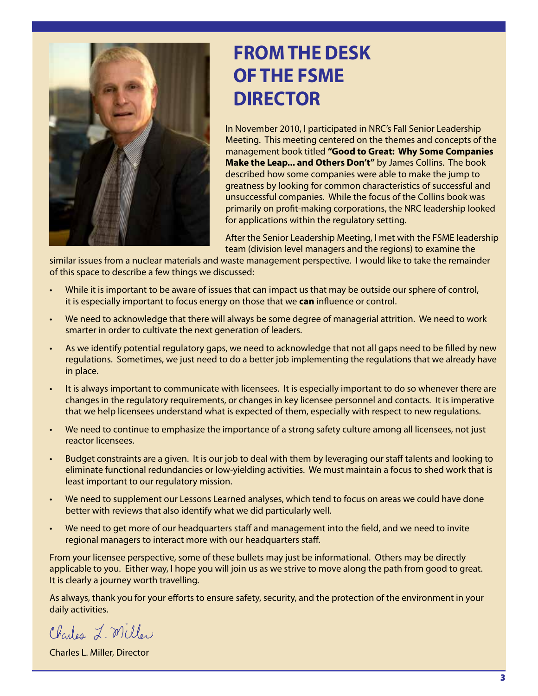

## **from the desk of the fsme DIRECTOR**

In November 2010, I participated in NRC's Fall Senior Leadership Meeting. This meeting centered on the themes and concepts of the management book titled **"Good to Great: Why Some Companies Make the Leap... and Others Don't"** by James Collins. The book described how some companies were able to make the jump to greatness by looking for common characteristics of successful and unsuccessful companies. While the focus of the Collins book was primarily on profit-making corporations, the NRC leadership looked for applications within the regulatory setting.

After the Senior Leadership Meeting, I met with the FSME leadership team (division level managers and the regions) to examine the

similar issues from a nuclear materials and waste management perspective. I would like to take the remainder of this space to describe a few things we discussed:

- While it is important to be aware of issues that can impact us that may be outside our sphere of control, it is especially important to focus energy on those that we **can** influence or control.
- We need to acknowledge that there will always be some degree of managerial attrition. We need to work smarter in order to cultivate the next generation of leaders.
- As we identify potential regulatory gaps, we need to acknowledge that not all gaps need to be filled by new regulations. Sometimes, we just need to do a better job implementing the regulations that we already have in place.
- It is always important to communicate with licensees. It is especially important to do so whenever there are changes in the regulatory requirements, or changes in key licensee personnel and contacts. It is imperative that we help licensees understand what is expected of them, especially with respect to new regulations.
- We need to continue to emphasize the importance of a strong safety culture among all licensees, not just reactor licensees.
- Budget constraints are a given. It is our job to deal with them by leveraging our staff talents and looking to eliminate functional redundancies or low-yielding activities. We must maintain a focus to shed work that is least important to our regulatory mission.
- We need to supplement our Lessons Learned analyses, which tend to focus on areas we could have done better with reviews that also identify what we did particularly well.
- We need to get more of our headquarters staff and management into the field, and we need to invite regional managers to interact more with our headquarters staff.

From your licensee perspective, some of these bullets may just be informational. Others may be directly applicable to you. Either way, I hope you will join us as we strive to move along the path from good to great. It is clearly a journey worth travelling.

As always, thank you for your efforts to ensure safety, security, and the protection of the environment in your daily activities.

Charles L. Miller

Charles L. Miller, Director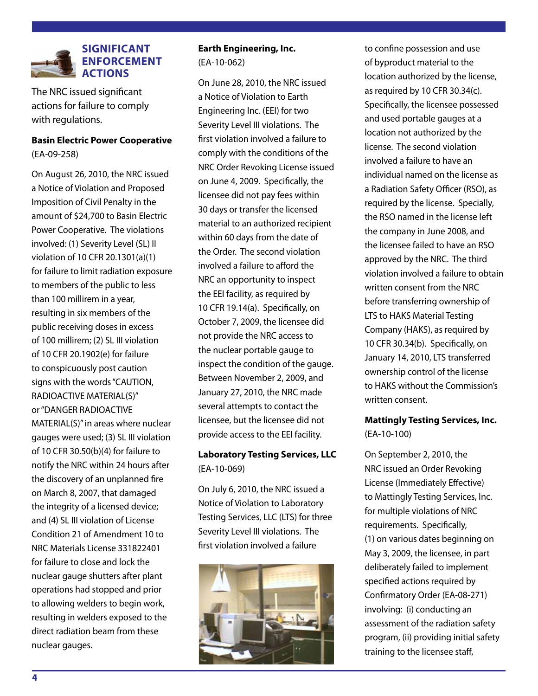

The NRC issued significant actions for failure to comply with regulations.

**Basin Electric Power Cooperative**  (EA-09-258)

On August 26, 2010, the NRC issued a Notice of Violation and Proposed Imposition of Civil Penalty in the amount of \$24,700 to Basin Electric Power Cooperative. The violations involved: (1) Severity Level (SL) II violation of 10 CFR 20.1301(a)(1) for failure to limit radiation exposure to members of the public to less than 100 millirem in a year, resulting in six members of the public receiving doses in excess of 100 millirem; (2) SL III violation of 10 CFR 20.1902(e) for failure to conspicuously post caution signs with the words "CAUTION, RADIOACTIVE MATERIAL(S)" or "DANGER RADIOACTIVE MATERIAL(S)" in areas where nuclear gauges were used; (3) SL III violation of 10 CFR 30.50(b)(4) for failure to notify the NRC within 24 hours after the discovery of an unplanned fire on March 8, 2007, that damaged the integrity of a licensed device; and (4) SL III violation of License Condition 21 of Amendment 10 to NRC Materials License 331822401 for failure to close and lock the nuclear gauge shutters after plant operations had stopped and prior to allowing welders to begin work, resulting in welders exposed to the direct radiation beam from these nuclear gauges.

#### **[Earth Engineering, Inc.](http://adamswebsearch2.nrc.gov/idmws/ViewDocByAccession.asp?AccessionNumber=ML101810184)**  [\(EA-10-062\)](http://adamswebsearch2.nrc.gov/idmws/ViewDocByAccession.asp?AccessionNumber=ML101810184)

On June 28, 2010, the NRC issued a Notice of Violation to Earth Engineering Inc. (EEI) for two Severity Level III violations. The first violation involved a failure to comply with the conditions of the NRC Order Revoking License issued on June 4, 2009. Specifically, the licensee did not pay fees within 30 days or transfer the licensed material to an authorized recipient within 60 days from the date of the Order. The second violation involved a failure to afford the NRC an opportunity to inspect the EEI facility, as required by 10 CFR 19.14(a). Specifically, on October 7, 2009, the licensee did not provide the NRC access to the nuclear portable gauge to inspect the condition of the gauge. Between November 2, 2009, and January 27, 2010, the NRC made several attempts to contact the licensee, but the licensee did not provide access to the EEI facility.

#### **[Laboratory Testing Services, LLC](http://adamswebsearch2.nrc.gov/idmws/ViewDocByAccession.asp?AccessionNumber=ML101880064)** [\(EA-10-069\)](http://adamswebsearch2.nrc.gov/idmws/ViewDocByAccession.asp?AccessionNumber=ML101880064)

On July 6, 2010, the NRC issued a Notice of Violation to Laboratory Testing Services, LLC (LTS) for three Severity Level III violations. The first violation involved a failure



to confine possession and use of byproduct material to the location authorized by the license, as required by 10 CFR 30.34(c). Specifically, the licensee possessed and used portable gauges at a location not authorized by the license. The second violation involved a failure to have an individual named on the license as a Radiation Safety Officer (RSO), as required by the license. Specially, the RSO named in the license left the company in June 2008, and the licensee failed to have an RSO approved by the NRC. The third violation involved a failure to obtain written consent from the NRC before transferring ownership of LTS to HAKS Material Testing Company (HAKS), as required by 10 CFR 30.34(b). Specifically, on January 14, 2010, LTS transferred ownership control of the license to HAKS without the Commission's written consent.

#### **[Mattingly Testing Services, Inc.](http://adamswebsearch2.nrc.gov/idmws/ViewDocByAccession.asp?AccessionNumber=ML102440180)**  [\(EA-10-100\)](http://adamswebsearch2.nrc.gov/idmws/ViewDocByAccession.asp?AccessionNumber=ML102440180)

On September 2, 2010, the NRC issued an Order Revoking License (Immediately Effective) to Mattingly Testing Services, Inc. for multiple violations of NRC requirements. Specifically, (1) on various dates beginning on May 3, 2009, the licensee, in part deliberately failed to implement specified actions required by Confirmatory Order (EA-08-271) involving: (i) conducting an assessment of the radiation safety program, (ii) providing initial safety training to the licensee staff,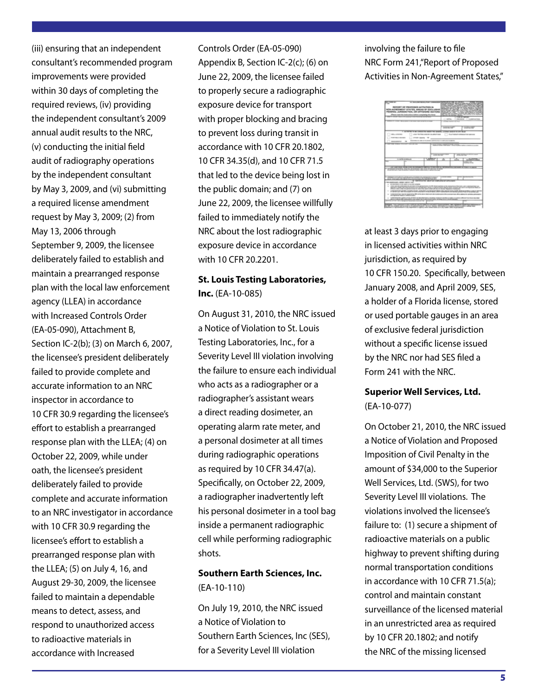(iii) ensuring that an independent consultant's recommended program improvements were provided within 30 days of completing the required reviews, (iv) providing the independent consultant's 2009 annual audit results to the NRC, (v) conducting the initial field audit of radiography operations by the independent consultant by May 3, 2009, and (vi) submitting a required license amendment request by May 3, 2009; (2) from May 13, 2006 through September 9, 2009, the licensee deliberately failed to establish and maintain a prearranged response plan with the local law enforcement agency (LLEA) in accordance with Increased Controls Order (EA-05-090), Attachment B, Section IC-2(b); (3) on March 6, 2007, the licensee's president deliberately failed to provide complete and accurate information to an NRC inspector in accordance to 10 CFR 30.9 regarding the licensee's effort to establish a prearranged response plan with the LLEA; (4) on October 22, 2009, while under oath, the licensee's president deliberately failed to provide complete and accurate information to an NRC investigator in accordance with 10 CFR 30.9 regarding the licensee's effort to establish a prearranged response plan with the LLEA; (5) on July 4, 16, and August 29-30, 2009, the licensee failed to maintain a dependable means to detect, assess, and respond to unauthorized access to radioactive materials in accordance with Increased

Controls Order (EA-05-090) Appendix B, Section IC-2(c); (6) on June 22, 2009, the licensee failed to properly secure a radiographic exposure device for transport with proper blocking and bracing to prevent loss during transit in accordance with 10 CFR 20.1802, 10 CFR 34.35(d), and 10 CFR 71.5 that led to the device being lost in the public domain; and (7) on June 22, 2009, the licensee willfully failed to immediately notify the NRC about the lost radiographic exposure device in accordance with 10 CFR 20.2201.

#### **[St. Louis Testing Laboratories,](http://adamswebsearch2.nrc.gov/idmws/ViewDocByAccession.asp?AccessionNumber=ML102440893)  Inc.** [\(EA-10-085\)](http://adamswebsearch2.nrc.gov/idmws/ViewDocByAccession.asp?AccessionNumber=ML102440893)

On August 31, 2010, the NRC issued a Notice of Violation to St. Louis Testing Laboratories, Inc., for a Severity Level III violation involving the failure to ensure each individual who acts as a radiographer or a radiographer's assistant wears a direct reading dosimeter, an operating alarm rate meter, and a personal dosimeter at all times during radiographic operations as required by 10 CFR 34.47(a). Specifically, on October 22, 2009, a radiographer inadvertently left his personal dosimeter in a tool bag inside a permanent radiographic cell while performing radiographic shots.

#### **[Southern Earth Sciences, Inc.](http://)**  [\(EA-10-110\)](http://)

On July 19, 2010, the NRC issued a Notice of Violation to Southern Earth Sciences, Inc (SES), for a Severity Level III violation

involving the failure to file NRC Form 241,"Report of Proposed Activities in Non-Agreement States,"



at least 3 days prior to engaging in licensed activities within NRC jurisdiction, as required by 10 CFR 150.20. Specifically, between January 2008, and April 2009, SES, a holder of a Florida license, stored or used portable gauges in an area of exclusive federal jurisdiction without a specific license issued by the NRC nor had SES filed a Form 241 with the NRC.

#### **[Superior Well Services, Ltd.](http://)**  [\(EA-10-077\)](http://)

On October 21, 2010, the NRC issued a Notice of Violation and Proposed Imposition of Civil Penalty in the amount of \$34,000 to the Superior Well Services, Ltd. (SWS), for two Severity Level III violations. The violations involved the licensee's failure to: (1) secure a shipment of radioactive materials on a public highway to prevent shifting during normal transportation conditions in accordance with 10 CFR 71.5(a); control and maintain constant surveillance of the licensed material in an unrestricted area as required by 10 CFR 20.1802; and notify the NRC of the missing licensed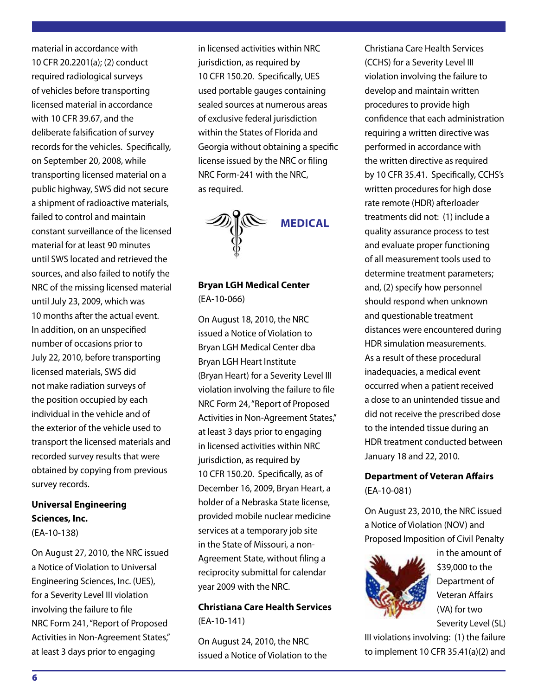material in accordance with 10 CFR 20.2201(a); (2) conduct required radiological surveys of vehicles before transporting licensed material in accordance with 10 CFR 39.67, and the deliberate falsification of survey records for the vehicles. Specifically, on September 20, 2008, while transporting licensed material on a public highway, SWS did not secure a shipment of radioactive materials, failed to control and maintain constant surveillance of the licensed material for at least 90 minutes until SWS located and retrieved the sources, and also failed to notify the NRC of the missing licensed material until July 23, 2009, which was 10 months after the actual event. In addition, on an unspecified number of occasions prior to July 22, 2010, before transporting licensed materials, SWS did not make radiation surveys of the position occupied by each individual in the vehicle and of the exterior of the vehicle used to transport the licensed materials and recorded survey results that were obtained by copying from previous survey records.

#### **[Universal Engineering](http://adamswebsearch2.nrc.gov/idmws/ViewDocByAccession.asp?AccessionNumber=ML102390355)  [Sciences, Inc.](http://adamswebsearch2.nrc.gov/idmws/ViewDocByAccession.asp?AccessionNumber=ML102390355)**  [\(EA-10-138\)](http://adamswebsearch2.nrc.gov/idmws/ViewDocByAccession.asp?AccessionNumber=ML102390355)

On August 27, 2010, the NRC issued a Notice of Violation to Universal Engineering Sciences, Inc. (UES), for a Severity Level III violation involving the failure to file NRC Form 241, "Report of Proposed Activities in Non-Agreement States," at least 3 days prior to engaging

in licensed activities within NRC jurisdiction, as required by 10 CFR 150.20. Specifically, UES used portable gauges containing sealed sources at numerous areas of exclusive federal jurisdiction within the States of Florida and Georgia without obtaining a specific license issued by the NRC or filing NRC Form-241 with the NRC, as required.



#### **[Bryan LGH Medical Center](http://adamswebsearch2.nrc.gov/idmws/ViewDocByAccession.asp?AccessionNumber=ML102310593)**  [\(EA-10-066\)](http://adamswebsearch2.nrc.gov/idmws/ViewDocByAccession.asp?AccessionNumber=ML102310593)

On August 18, 2010, the NRC issued a Notice of Violation to Bryan LGH Medical Center dba Bryan LGH Heart Institute (Bryan Heart) for a Severity Level III violation involving the failure to file NRC Form 24, "Report of Proposed Activities in Non-Agreement States," at least 3 days prior to engaging in licensed activities within NRC jurisdiction, as required by 10 CFR 150.20. Specifically, as of December 16, 2009, Bryan Heart, a holder of a Nebraska State license, provided mobile nuclear medicine services at a temporary job site in the State of Missouri, a non-Agreement State, without filing a reciprocity submittal for calendar year 2009 with the NRC.

#### **[Christiana Care Health Services](http://adamswebsearch2.nrc.gov/idmws/ViewDocByAccession.asp?AccessionNumber=ML102370150)**  [\(EA-10-141\)](http://adamswebsearch2.nrc.gov/idmws/ViewDocByAccession.asp?AccessionNumber=ML102370150)

On August 24, 2010, the NRC issued a Notice of Violation to the Christiana Care Health Services (CCHS) for a Severity Level III violation involving the failure to develop and maintain written procedures to provide high confidence that each administration requiring a written directive was performed in accordance with the written directive as required by 10 CFR 35.41. Specifically, CCHS's written procedures for high dose rate remote (HDR) afterloader treatments did not: (1) include a quality assurance process to test and evaluate proper functioning of all measurement tools used to determine treatment parameters; and, (2) specify how personnel should respond when unknown and questionable treatment distances were encountered during HDR simulation measurements. As a result of these procedural inadequacies, a medical event occurred when a patient received a dose to an unintended tissue and did not receive the prescribed dose to the intended tissue during an HDR treatment conducted between January 18 and 22, 2010.

#### **[Department of Veteran Affairs](http://adamswebsearch2.nrc.gov/idmws/ViewDocByAccession.asp?AccessionNumber=ML102350127)**  [\(EA-10-081\)](http://adamswebsearch2.nrc.gov/idmws/ViewDocByAccession.asp?AccessionNumber=ML102350127)

On August 23, 2010, the NRC issued a Notice of Violation (NOV) and Proposed Imposition of Civil Penalty



in the amount of \$39,000 to the Department of Veteran Affairs (VA) for two Severity Level (SL)

III violations involving: (1) the failure to implement 10 CFR 35.41(a)(2) and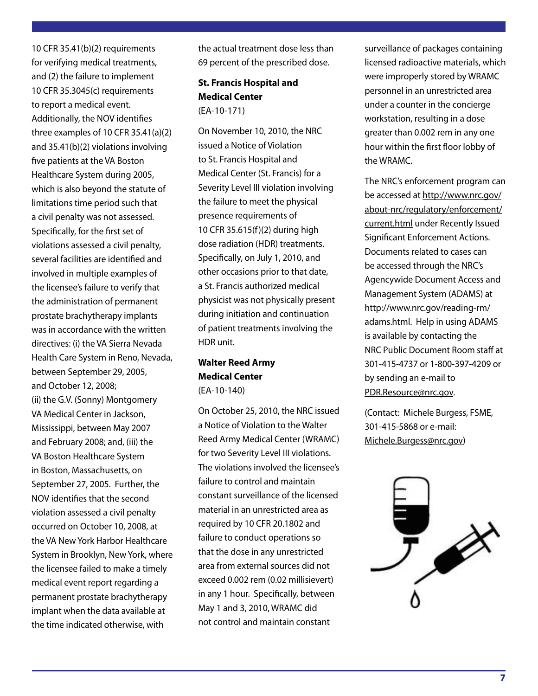10 CFR 35.41(b)(2) requirements for verifying medical treatments, and (2) the failure to implement 10 CFR 35.3045(c) requirements to report a medical event. Additionally, the NOV identifies three examples of 10 CFR 35.41(a)(2) and 35.41(b)(2) violations involving five patients at the VA Boston Healthcare System during 2005, which is also beyond the statute of limitations time period such that a civil penalty was not assessed. Specifically, for the first set of violations assessed a civil penalty, several facilities are identified and involved in multiple examples of the licensee's failure to verify that the administration of permanent prostate brachytherapy implants was in accordance with the written directives: (i) the VA Sierra Nevada Health Care System in Reno, Nevada, between September 29, 2005, and October 12, 2008; (ii) the G.V. (Sonny) Montgomery VA Medical Center in Jackson, Mississippi, between May 2007 and February 2008; and, (iii) the VA Boston Healthcare System in Boston, Massachusetts, on September 27, 2005. Further, the NOV identifies that the second violation assessed a civil penalty occurred on October 10, 2008, at the VA New York Harbor Healthcare System in Brooklyn, New York, where the licensee failed to make a timely medical event report regarding a permanent prostate brachytherapy implant when the data available at the time indicated otherwise, with

the actual treatment dose less than 69 percent of the prescribed dose.

#### **[St. Francis Hospital and](http://adamswebsearch2.nrc.gov/idmws/ViewDocByAccession.asp?AccessionNumber=ML103140671)  [Medical Center](http://adamswebsearch2.nrc.gov/idmws/ViewDocByAccession.asp?AccessionNumber=ML103140671)**  [\(EA-10-171\)](http://adamswebsearch2.nrc.gov/idmws/ViewDocByAccession.asp?AccessionNumber=ML103140671)

On November 10, 2010, the NRC issued a Notice of Violation to St. Francis Hospital and Medical Center (St. Francis) for a Severity Level III violation involving the failure to meet the physical presence requirements of 10 CFR 35.615(f)(2) during high dose radiation (HDR) treatments. Specifically, on July 1, 2010, and other occasions prior to that date, a St. Francis authorized medical physicist was not physically present during initiation and continuation of patient treatments involving the HDR unit.

#### **[Walter Reed Army](http://adamswebsearch2.nrc.gov/idmws/ViewDocByAccession.asp?AccessionNumber=ML102990033)  [Medical Center](http://adamswebsearch2.nrc.gov/idmws/ViewDocByAccession.asp?AccessionNumber=ML102990033)**  [\(EA-10-140\)](http://adamswebsearch2.nrc.gov/idmws/ViewDocByAccession.asp?AccessionNumber=ML102990033)

On October 25, 2010, the NRC issued a Notice of Violation to the Walter Reed Army Medical Center (WRAMC) for two Severity Level III violations. The violations involved the licensee's failure to control and maintain constant surveillance of the licensed material in an unrestricted area as required by 10 CFR 20.1802 and failure to conduct operations so that the dose in any unrestricted area from external sources did not exceed 0.002 rem (0.02 millisievert) in any 1 hour. Specifically, between May 1 and 3, 2010, WRAMC did not control and maintain constant

surveillance of packages containing licensed radioactive materials, which were improperly stored by WRAMC personnel in an unrestricted area under a counter in the concierge workstation, resulting in a dose greater than 0.002 rem in any one hour within the first floor lobby of the WRAMC.

The NRC's enforcement program can be accessed at http://www.nrc.gov/ about-nrc/regulatory/enforcement/ current.html under Recently Issued Significant Enforcement Actions. Documents related to cases can be accessed through the NRC's Agencywide Document Access and Management System (ADAMS) at http://www.nrc.gov/reading-rm/ adams.html. Help in using ADAMS is available by contacting the NRC Public Document Room staff at 301-415-4737 or 1-800-397-4209 or by sending an e-mail to PDR.Resource@nrc.gov.

(Contact: Michele Burgess, FSME, 301-415-5868 or e-mail: Michele.Burgess@nrc.gov)